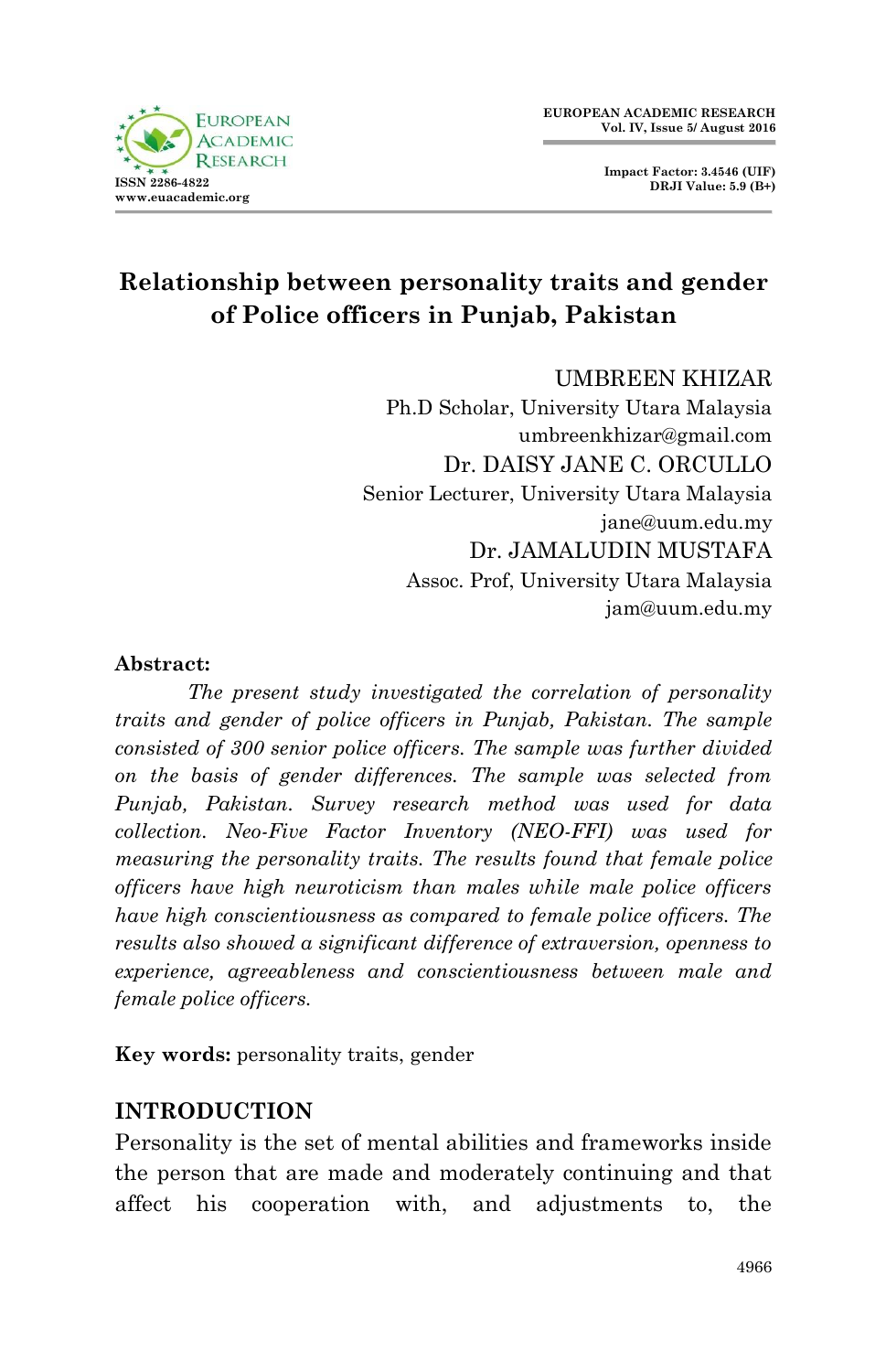



# **Relationship between personality traits and gender of Police officers in Punjab, Pakistan**

#### UMBREEN KHIZAR

Ph.D Scholar, University Utara Malaysia umbreenkhizar@gmail.com Dr. DAISY JANE C. ORCULLO Senior Lecturer, University Utara Malaysia jane@uum.edu.my Dr. JAMALUDIN MUSTAFA Assoc. Prof, University Utara Malaysia jam@uum.edu.my

#### **Abstract:**

 *The present study investigated the correlation of personality traits and gender of police officers in Punjab, Pakistan. The sample consisted of 300 senior police officers. The sample was further divided on the basis of gender differences. The sample was selected from Punjab, Pakistan. Survey research method was used for data collection. Neo-Five Factor Inventory (NEO-FFI) was used for measuring the personality traits. The results found that female police officers have high neuroticism than males while male police officers have high conscientiousness as compared to female police officers. The results also showed a significant difference of extraversion, openness to experience, agreeableness and conscientiousness between male and female police officers.* 

**Key words:** personality traits, gender

# **INTRODUCTION**

Personality is the set of mental abilities and frameworks inside the person that are made and moderately continuing and that affect his cooperation with, and adjustments to, the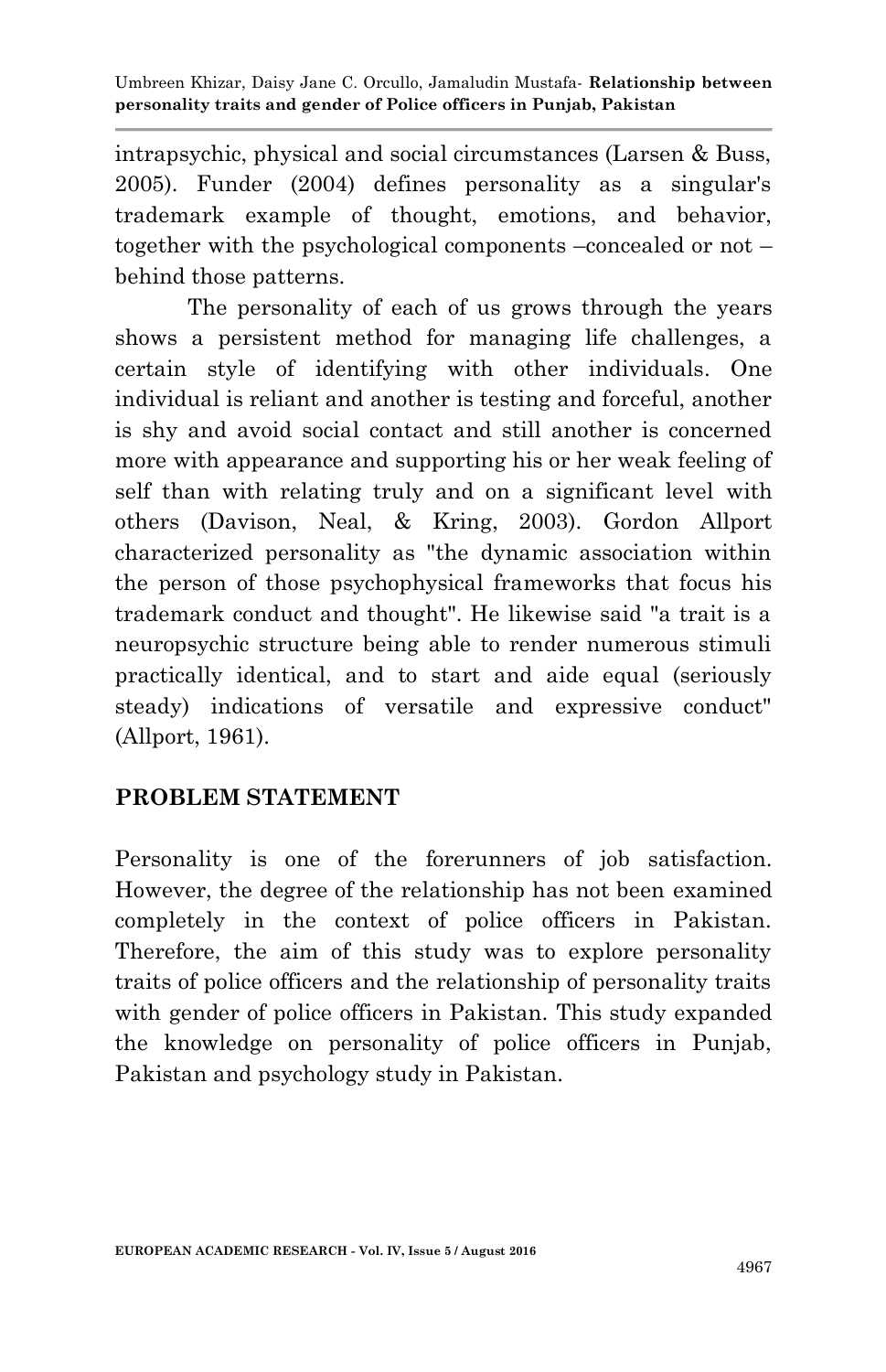intrapsychic, physical and social circumstances (Larsen & Buss, 2005). Funder (2004) defines personality as a singular's trademark example of thought, emotions, and behavior, together with the psychological components –concealed or not – behind those patterns.

The personality of each of us grows through the years shows a persistent method for managing life challenges, a certain style of identifying with other individuals. One individual is reliant and another is testing and forceful, another is shy and avoid social contact and still another is concerned more with appearance and supporting his or her weak feeling of self than with relating truly and on a significant level with others (Davison, Neal, & Kring, 2003). Gordon Allport characterized personality as "the dynamic association within the person of those psychophysical frameworks that focus his trademark conduct and thought". He likewise said "a trait is a neuropsychic structure being able to render numerous stimuli practically identical, and to start and aide equal (seriously steady) indications of versatile and expressive conduct" (Allport, 1961).

# **PROBLEM STATEMENT**

Personality is one of the forerunners of job satisfaction. However, the degree of the relationship has not been examined completely in the context of police officers in Pakistan. Therefore, the aim of this study was to explore personality traits of police officers and the relationship of personality traits with gender of police officers in Pakistan. This study expanded the knowledge on personality of police officers in Punjab, Pakistan and psychology study in Pakistan.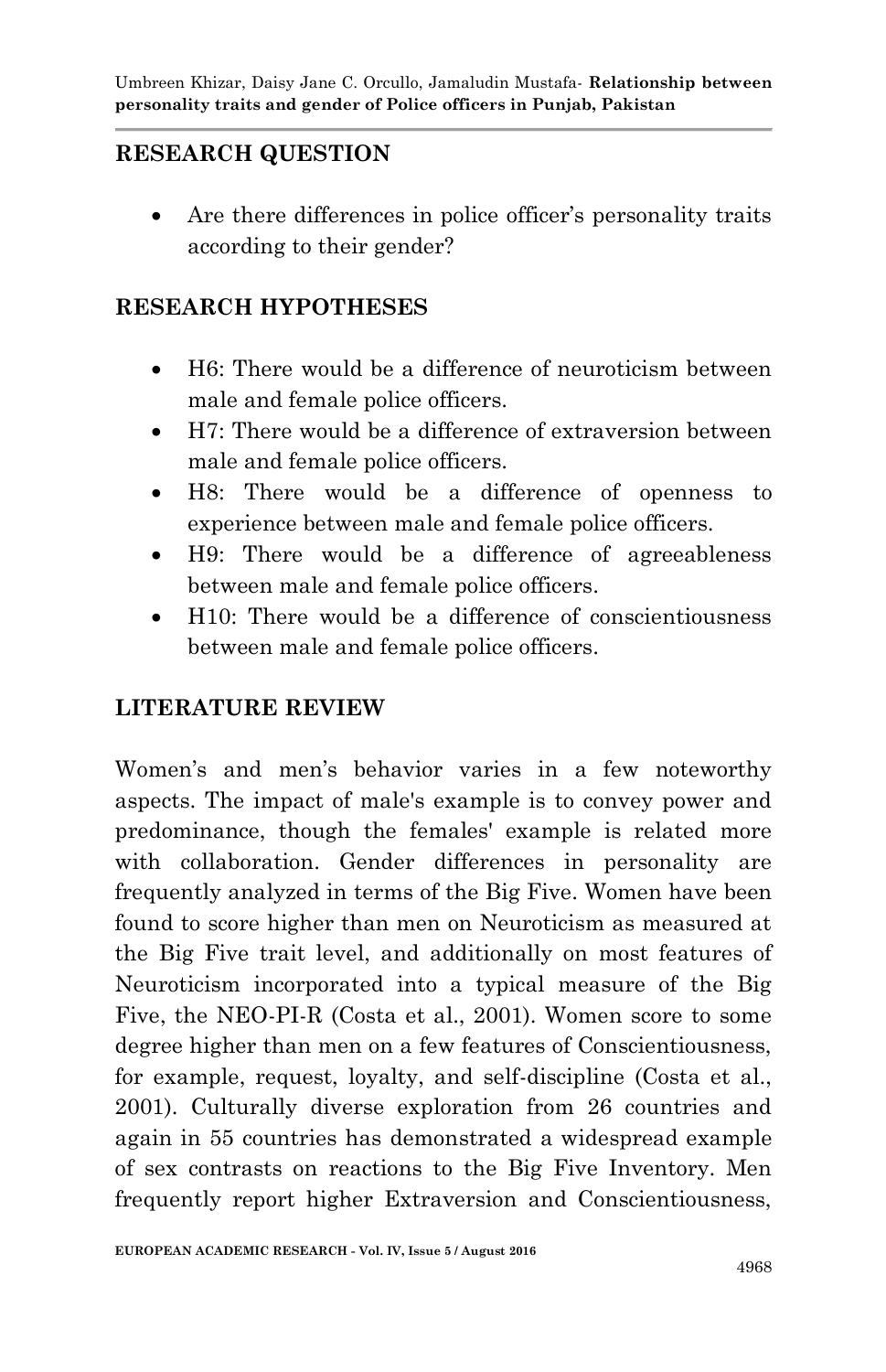# **RESEARCH QUESTION**

 Are there differences in police officer's personality traits according to their gender?

#### **RESEARCH HYPOTHESES**

- H6: There would be a difference of neuroticism between male and female police officers.
- H7: There would be a difference of extraversion between male and female police officers.
- H8: There would be a difference of openness to experience between male and female police officers.
- H9: There would be a difference of agreeableness between male and female police officers.
- H10: There would be a difference of conscientiousness between male and female police officers.

# **LITERATURE REVIEW**

Women's and men's behavior varies in a few noteworthy aspects. The impact of male's example is to convey power and predominance, though the females' example is related more with collaboration. Gender differences in personality are frequently analyzed in terms of the Big Five. Women have been found to score higher than men on Neuroticism as measured at the Big Five trait level, and additionally on most features of Neuroticism incorporated into a typical measure of the Big Five, the NEO-PI-R (Costa et al., 2001). Women score to some degree higher than men on a few features of Conscientiousness, for example, request, loyalty, and self-discipline (Costa et al., 2001). Culturally diverse exploration from 26 countries and again in 55 countries has demonstrated a widespread example of sex contrasts on reactions to the Big Five Inventory. Men frequently report higher Extraversion and Conscientiousness,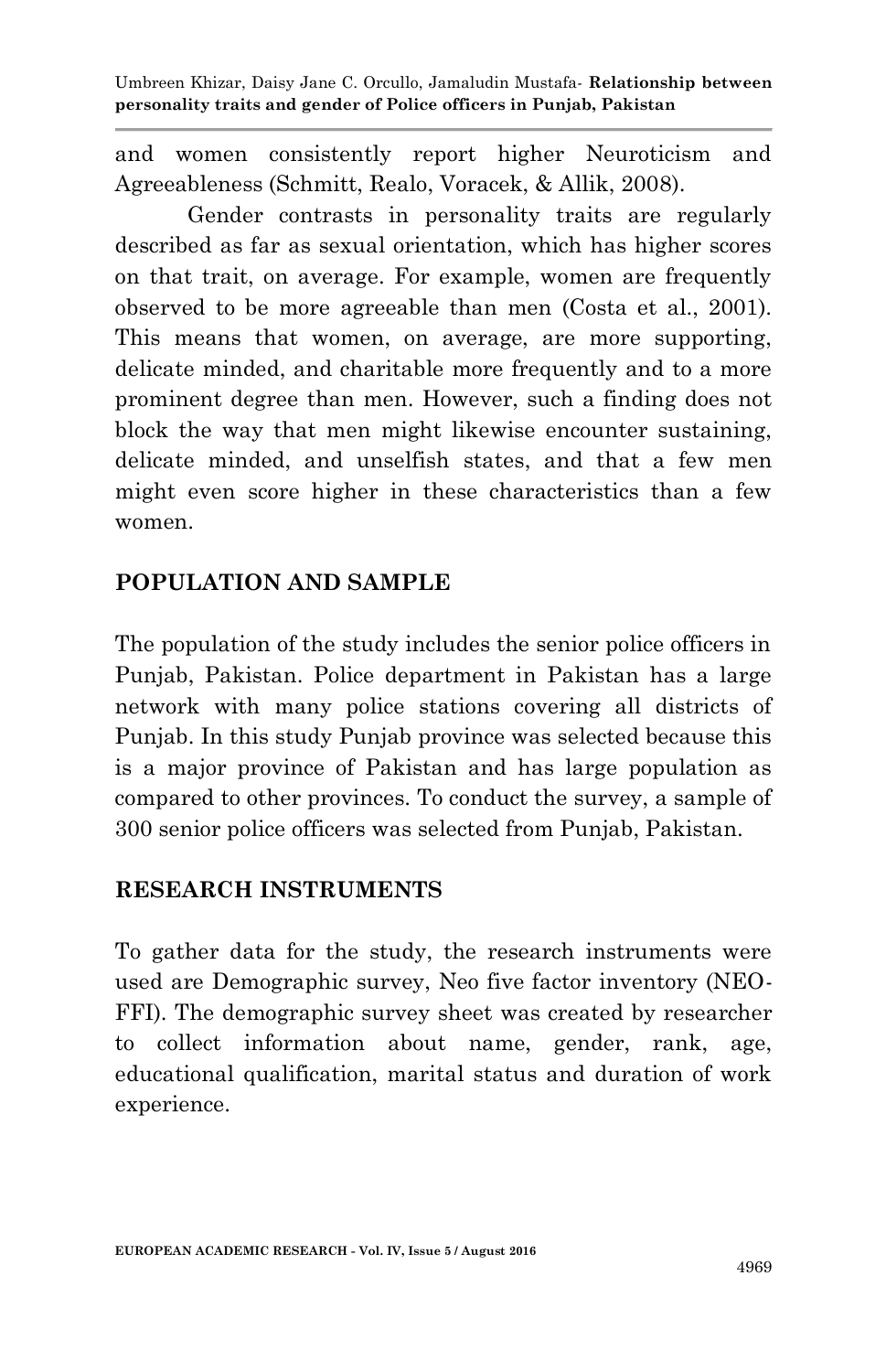and women consistently report higher Neuroticism and Agreeableness (Schmitt, Realo, Voracek, & Allik, 2008).

Gender contrasts in personality traits are regularly described as far as sexual orientation, which has higher scores on that trait, on average. For example, women are frequently observed to be more agreeable than men (Costa et al., 2001). This means that women, on average, are more supporting, delicate minded, and charitable more frequently and to a more prominent degree than men. However, such a finding does not block the way that men might likewise encounter sustaining, delicate minded, and unselfish states, and that a few men might even score higher in these characteristics than a few women.

#### **POPULATION AND SAMPLE**

The population of the study includes the senior police officers in Punjab, Pakistan. Police department in Pakistan has a large network with many police stations covering all districts of Punjab. In this study Punjab province was selected because this is a major province of Pakistan and has large population as compared to other provinces. To conduct the survey, a sample of 300 senior police officers was selected from Punjab, Pakistan.

#### **RESEARCH INSTRUMENTS**

To gather data for the study, the research instruments were used are Demographic survey, Neo five factor inventory (NEO-FFI). The demographic survey sheet was created by researcher to collect information about name, gender, rank, age, educational qualification, marital status and duration of work experience.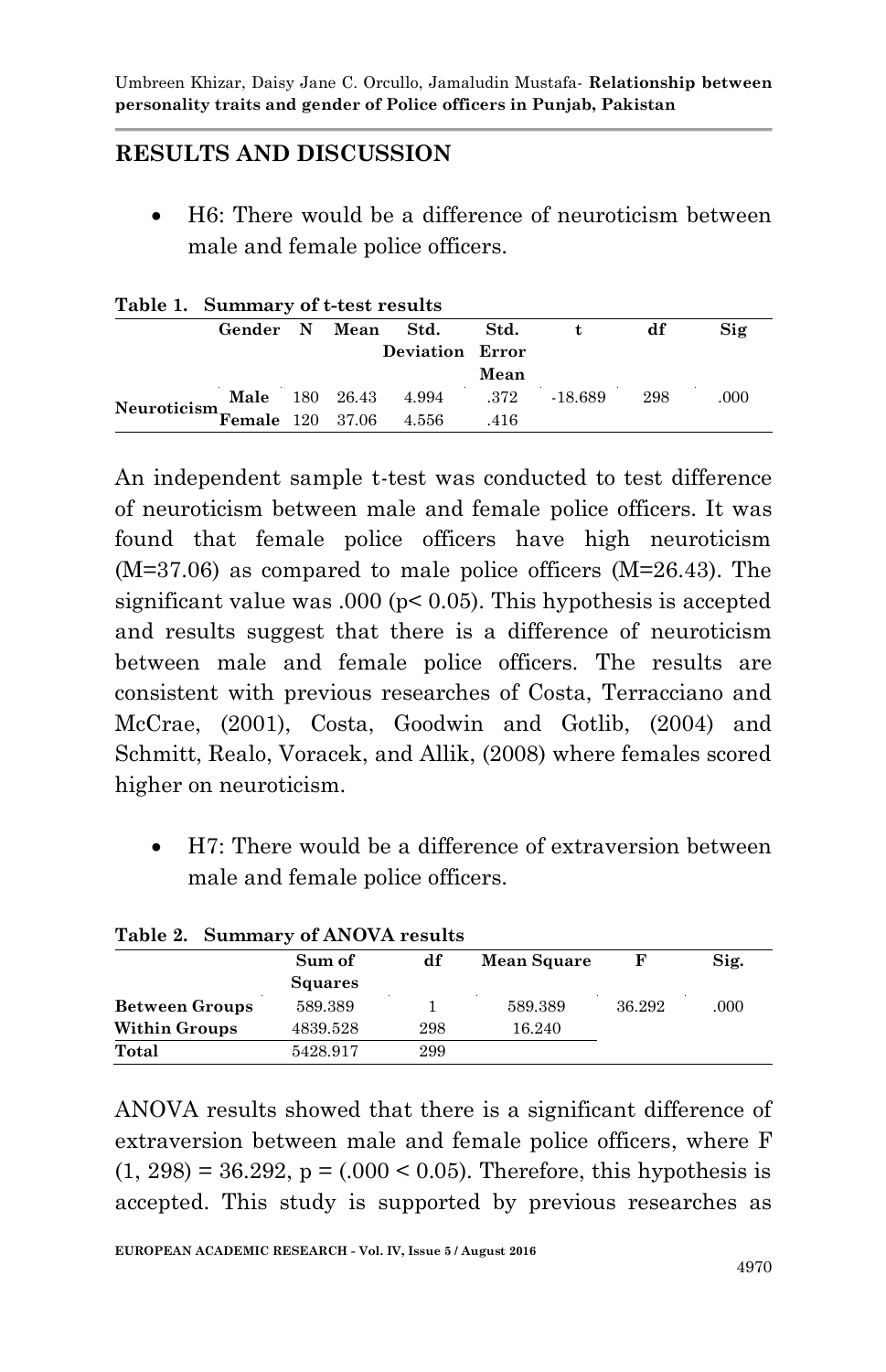# **RESULTS AND DISCUSSION**

 H6: There would be a difference of neuroticism between male and female police officers.

| rable 1. Summary of t-test results                     |                    |  |                           |      |           |     |      |
|--------------------------------------------------------|--------------------|--|---------------------------|------|-----------|-----|------|
|                                                        | Gender N Mean Std. |  |                           | Std. |           | df  | Sig  |
|                                                        |                    |  | <b>Deviation Error</b>    |      |           |     |      |
|                                                        |                    |  |                           | Mean |           |     |      |
| Neuroticism $\overline{\text{Female}}$ 120 37.06 4.556 |                    |  | Male 180 26.43 4.994 .372 |      | $-18.689$ | 298 | .000 |
|                                                        |                    |  |                           | .416 |           |     |      |

#### **Table 1. Summary of t-test results**

An independent sample t-test was conducted to test difference of neuroticism between male and female police officers. It was found that female police officers have high neuroticism (M=37.06) as compared to male police officers (M=26.43). The significant value was .000 ( $p < 0.05$ ). This hypothesis is accepted and results suggest that there is a difference of neuroticism between male and female police officers. The results are consistent with previous researches of Costa, Terracciano and McCrae, (2001), Costa, Goodwin and Gotlib, (2004) and Schmitt, Realo, Voracek, and Allik, (2008) where females scored higher on neuroticism.

 H7: There would be a difference of extraversion between male and female police officers.

| Table 2. Summary of ANOVA results |                |     |                    |        |      |  |  |  |
|-----------------------------------|----------------|-----|--------------------|--------|------|--|--|--|
|                                   | Sum of         | df  | <b>Mean Square</b> |        | Sig. |  |  |  |
|                                   | <b>Squares</b> |     |                    |        |      |  |  |  |
| <b>Between Groups</b>             | 589.389        |     | 589.389            | 36.292 | .000 |  |  |  |
| <b>Within Groups</b>              | 4839.528       | 298 | 16.240             |        |      |  |  |  |
| Total                             | 5428.917       | 299 |                    |        |      |  |  |  |

#### **Table 2. Summary of ANOVA results**

ANOVA results showed that there is a significant difference of extraversion between male and female police officers, where F  $(1, 298) = 36.292$ ,  $p = (.000 < 0.05)$ . Therefore, this hypothesis is accepted. This study is supported by previous researches as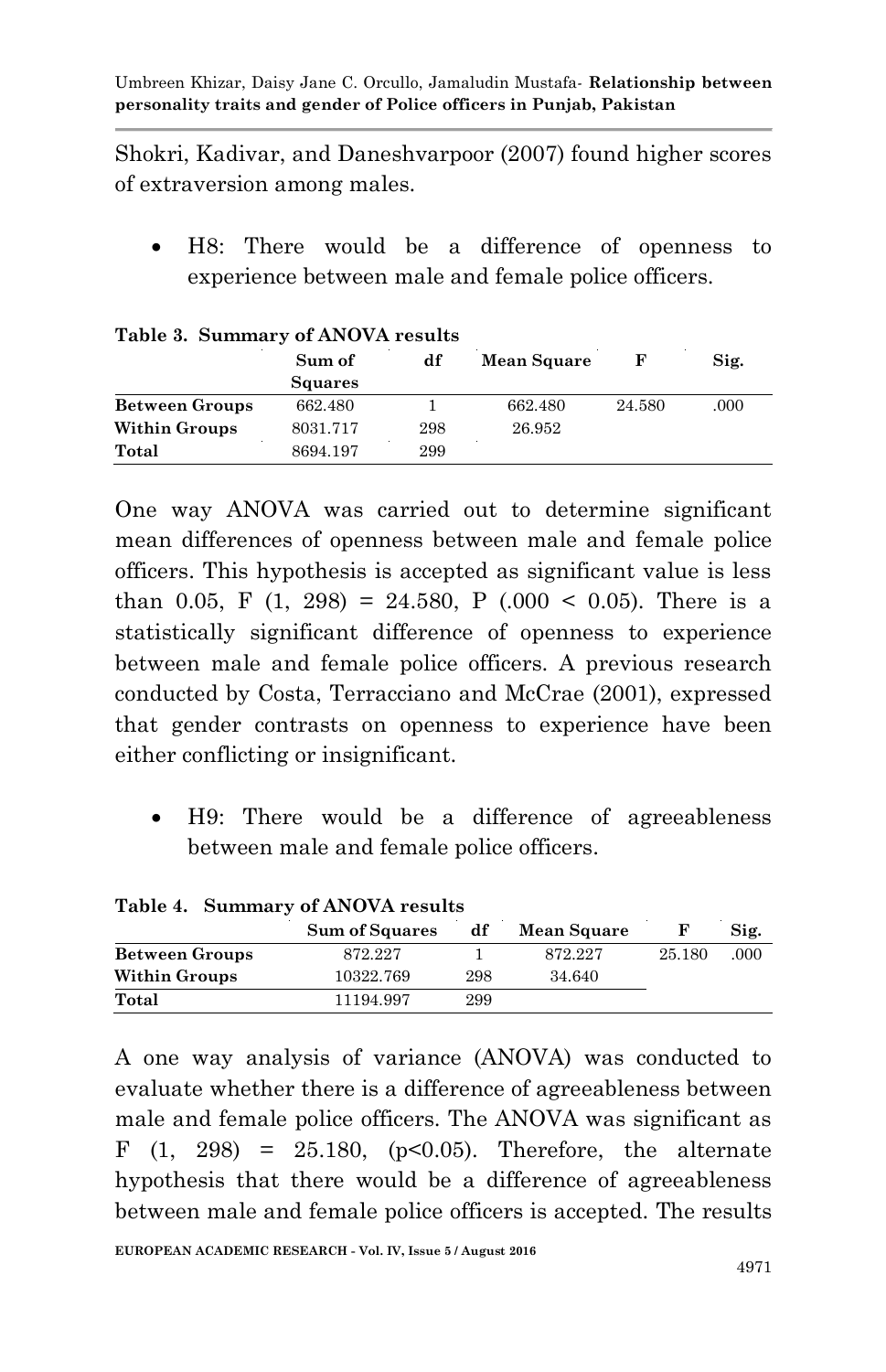Shokri, Kadivar, and Daneshvarpoor (2007) found higher scores of extraversion among males.

 H8: There would be a difference of openness to experience between male and female police officers.

|                       | Sum of         | df  | <b>Mean Square</b> |        | Sig. |
|-----------------------|----------------|-----|--------------------|--------|------|
|                       | <b>Squares</b> |     |                    |        |      |
| <b>Between Groups</b> | 662.480        |     | 662.480            | 24.580 | .000 |
| <b>Within Groups</b>  | 8031.717       | 298 | 26.952             |        |      |
| Total                 | 8694.197       | 299 |                    |        |      |

#### **Table 3. Summary of ANOVA results**

One way ANOVA was carried out to determine significant mean differences of openness between male and female police officers. This hypothesis is accepted as significant value is less than 0.05, F  $(1, 298) = 24.580$ , P  $(.000 \le 0.05)$ . There is a statistically significant difference of openness to experience between male and female police officers. A previous research conducted by Costa, Terracciano and McCrae (2001), expressed that gender contrasts on openness to experience have been either conflicting or insignificant.

 H9: There would be a difference of agreeableness between male and female police officers.

| Table 4. Summary of ANOVA results |                       |     |                    |        |      |  |  |  |  |
|-----------------------------------|-----------------------|-----|--------------------|--------|------|--|--|--|--|
|                                   | <b>Sum of Squares</b> | df  | <b>Mean Square</b> |        | Sig. |  |  |  |  |
| <b>Between Groups</b>             | 872.227               |     | 872.227            | 25.180 | .000 |  |  |  |  |
| <b>Within Groups</b>              | 10322.769             | 298 | 34.640             |        |      |  |  |  |  |
| Total                             | 11194.997             | 299 |                    |        |      |  |  |  |  |

A one way analysis of variance (ANOVA) was conducted to evaluate whether there is a difference of agreeableness between male and female police officers. The ANOVA was significant as F  $(1, 298) = 25.180, (p<0.05)$ . Therefore, the alternate hypothesis that there would be a difference of agreeableness between male and female police officers is accepted. The results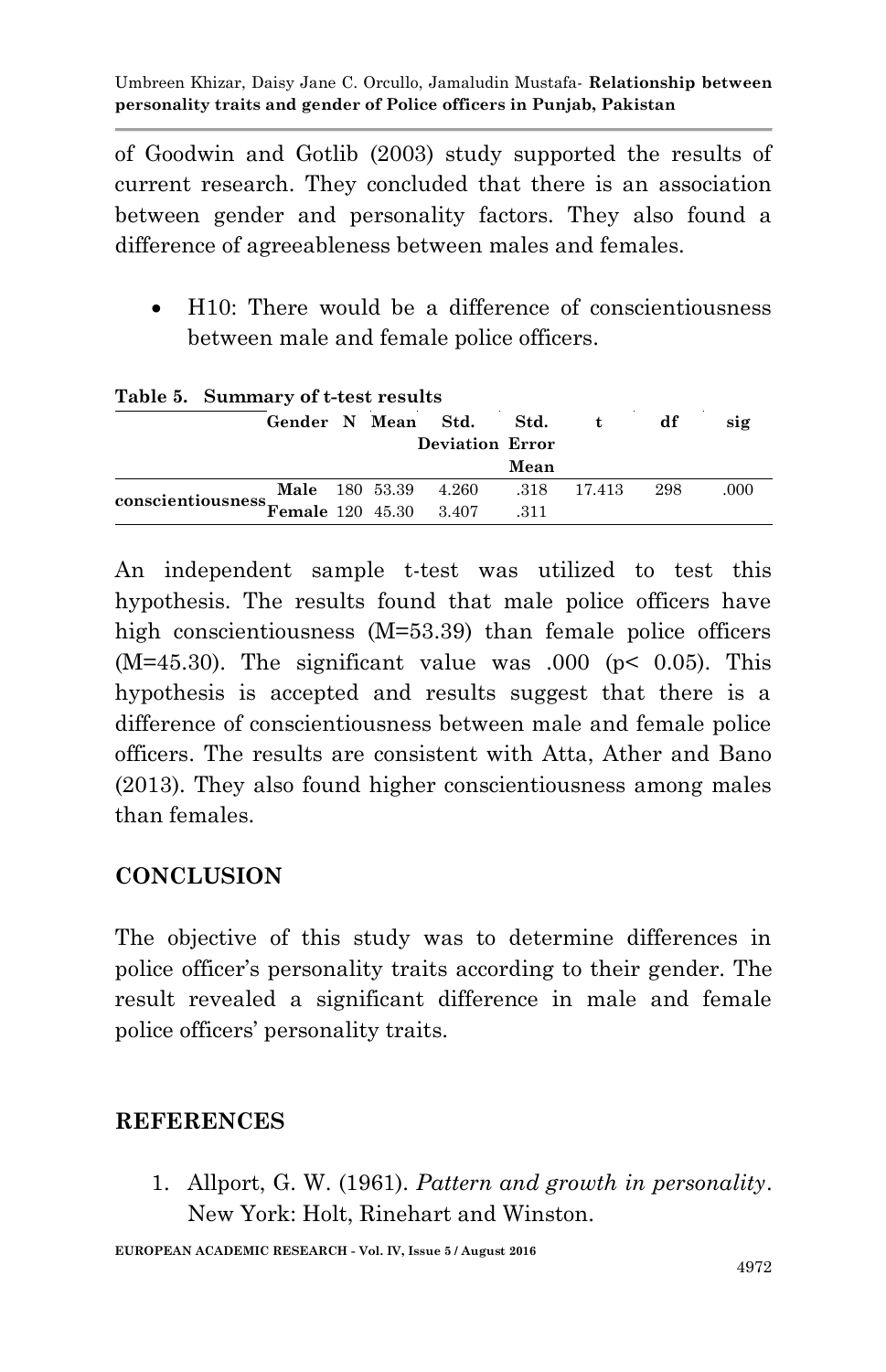of Goodwin and Gotlib (2003) study supported the results of current research. They concluded that there is an association between gender and personality factors. They also found a difference of agreeableness between males and females.

• H10: There would be a difference of conscientiousness between male and female police officers.

| rapic 9. Dummary or t-test results          |  |  |  |                         |      |              |      |      |
|---------------------------------------------|--|--|--|-------------------------|------|--------------|------|------|
|                                             |  |  |  | Gender N Mean Std. Std. |      | $\mathbf{t}$ | df   | sig  |
|                                             |  |  |  | <b>Deviation Error</b>  |      |              |      |      |
|                                             |  |  |  |                         | Mean |              |      |      |
|                                             |  |  |  | Male 180 53.39 4.260    |      | .318 17.413  | -298 | .000 |
| conscientiousness<br>Female 120 45.30 3.407 |  |  |  |                         | .311 |              |      |      |

**Table 5. Summary of t-test results**

An independent sample t-test was utilized to test this hypothesis. The results found that male police officers have high conscientiousness (M=53.39) than female police officers  $(M=45.30)$ . The significant value was  $.000$  ( $p< 0.05$ ). This hypothesis is accepted and results suggest that there is a difference of conscientiousness between male and female police officers. The results are consistent with Atta, Ather and Bano (2013). They also found higher conscientiousness among males than females.

# **CONCLUSION**

The objective of this study was to determine differences in police officer's personality traits according to their gender. The result revealed a significant difference in male and female police officers' personality traits.

#### **REFERENCES**

1. Allport, G. W. (1961). *Pattern and growth in personality*. New York: Holt, Rinehart and Winston.

**EUROPEAN ACADEMIC RESEARCH - Vol. IV, Issue 5 / August 2016**